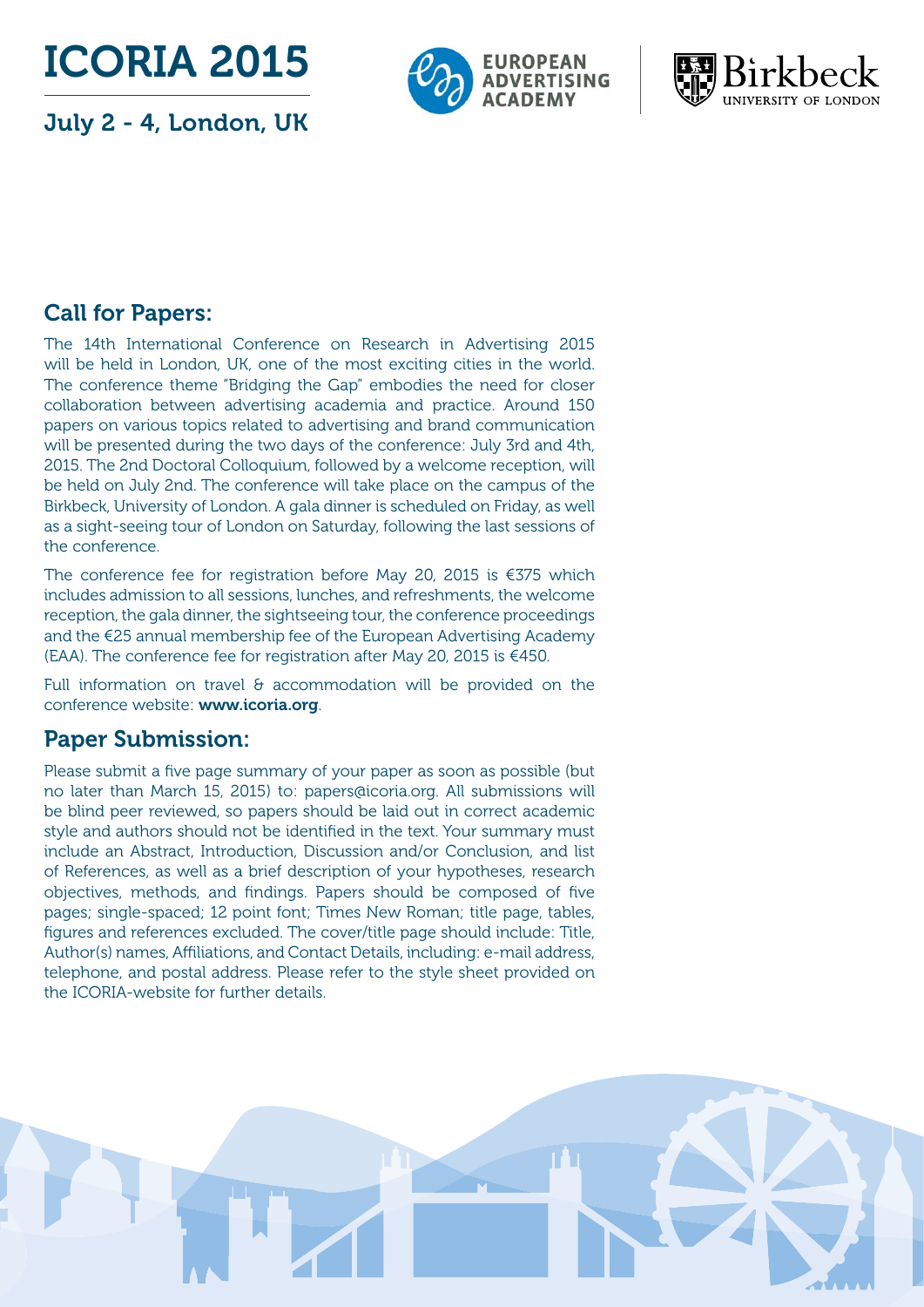ICORIA 2015

July 2 - 4, London, UK





## Call for Papers:

The 14th International Conference on Research in Advertising 2015 will be held in London, UK, one of the most exciting cities in the world. The conference theme "Bridging the Gap" embodies the need for closer collaboration between advertising academia and practice. Around 150 papers on various topics related to advertising and brand communication will be presented during the two days of the conference: July 3rd and 4th, 2015. The 2nd Doctoral Colloquium, followed by a welcome reception, will be held on July 2nd. The conference will take place on the campus of the Birkbeck, University of London. A gala dinner is scheduled on Friday, as well as a sight-seeing tour of London on Saturday, following the last sessions of the conference.

The conference fee for registration before May 20, 2015 is €375 which includes admission to all sessions, lunches, and refreshments, the welcome reception, the gala dinner, the sightseeing tour, the conference proceedings and the €25 annual membership fee of the European Advertising Academy (EAA). The conference fee for registration after May 20, 2015 is €450.

Full information on travel  $\theta$  accommodation will be provided on the conference website: www.icoria.org.

## Paper Submission:

Please submit a five page summary of your paper as soon as possible (but no later than March 15, 2015) to: papers@icoria.org. All submissions will be blind peer reviewed, so papers should be laid out in correct academic style and authors should not be identified in the text. Your summary must include an Abstract, Introduction, Discussion and/or Conclusion, and list of References, as well as a brief description of your hypotheses, research objectives, methods, and findings. Papers should be composed of five pages; single-spaced; 12 point font; Times New Roman; title page, tables, figures and references excluded. The cover/title page should include: Title, Author(s) names, Affiliations, and Contact Details, including: e-mail address, telephone, and postal address. Please refer to the style sheet provided on the ICORIA-website for further details.

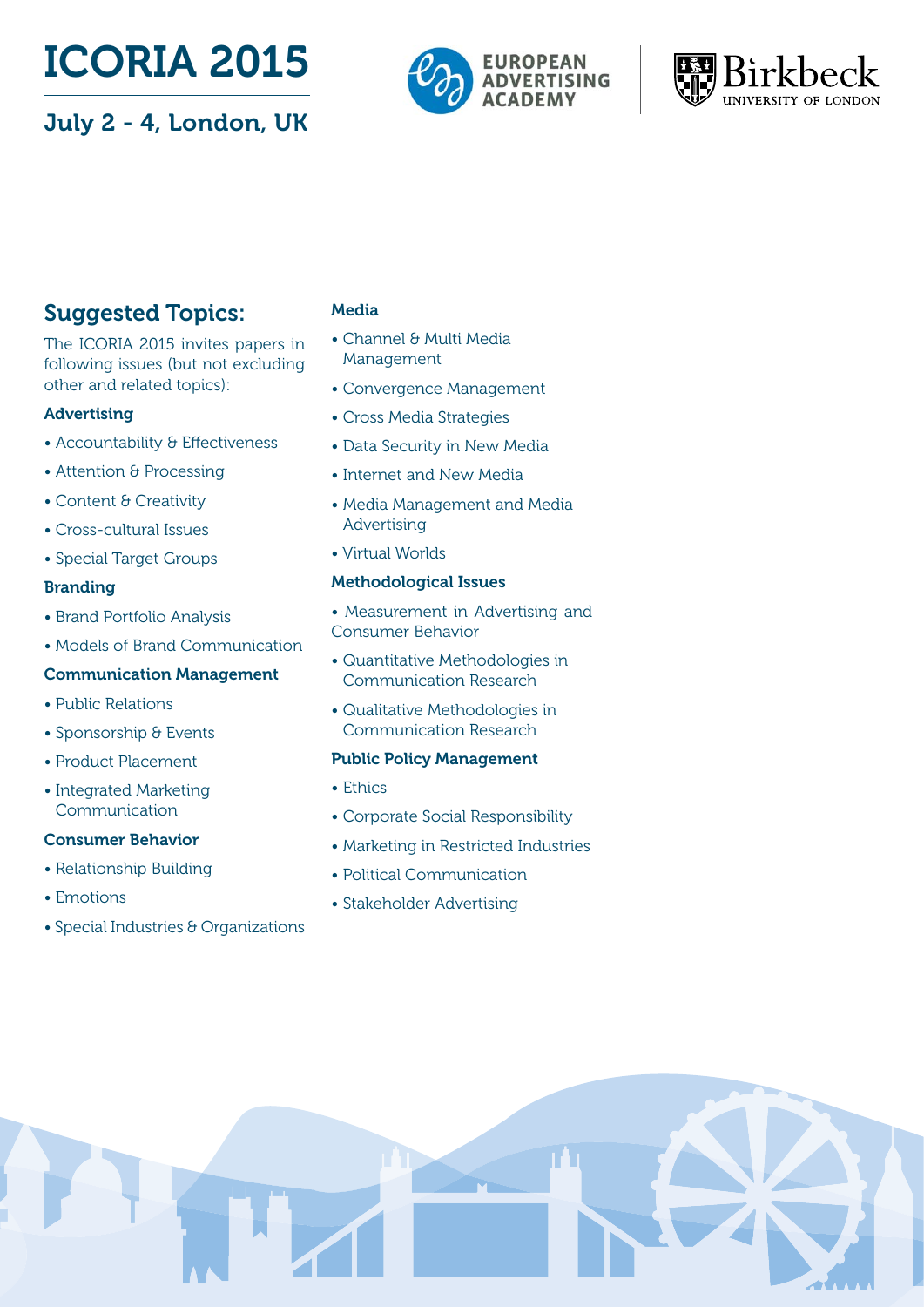# ICORIA 2015

## July 2 - 4, London, UK





## Suggested Topics:

The ICORIA 2015 invites papers in following issues (but not excluding other and related topics):

#### Advertising

- Accountability & Effectiveness
- Attention & Processing
- Content & Creativity
- Cross-cultural Issues
- Special Target Groups

#### Branding

- Brand Portfolio Analysis
- Models of Brand Communication

#### Communication Management

- Public Relations
- Sponsorship & Events
- Product Placement
- Integrated Marketing Communication

#### Consumer Behavior

- Relationship Building
- Emotions
- Special Industries & Organizations

#### Media

- Channel & Multi Media Management
- Convergence Management
- Cross Media Strategies
- Data Security in New Media
- Internet and New Media
- Media Management and Media Advertising
- Virtual Worlds

#### Methodological Issues

- Measurement in Advertising and Consumer Behavior
- Quantitative Methodologies in Communication Research
- Qualitative Methodologies in Communication Research

#### Public Policy Management

- Ethics
- Corporate Social Responsibility
- Marketing in Restricted Industries
- Political Communication
- Stakeholder Advertising